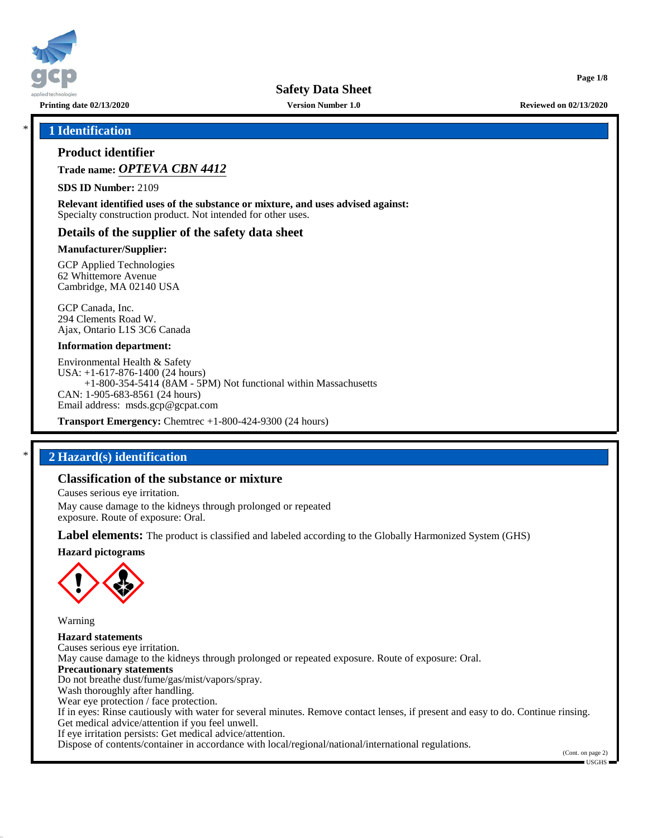

**Printing date 02/13/2020 Version Number 1.0 Reviewed on 02/13/2020**

**Page 1/8**

# \* **1 Identification**

# **Product identifier**

**Trade name:** *OPTEVA CBN 4412*

**SDS ID Number:** 2109

**Relevant identified uses of the substance or mixture, and uses advised against:** Specialty construction product. Not intended for other uses.

### **Details of the supplier of the safety data sheet**

#### **Manufacturer/Supplier:**

GCP Applied Technologies 62 Whittemore Avenue Cambridge, MA 02140 USA

GCP Canada, Inc. 294 Clements Road W. Ajax, Ontario L1S 3C6 Canada

#### **Information department:**

Environmental Health & Safety USA: +1-617-876-1400 (24 hours) +1-800-354-5414 (8AM - 5PM) Not functional within Massachusetts CAN: 1-905-683-8561 (24 hours) Email address: msds.gcp@gcpat.com

**Transport Emergency:** Chemtrec +1-800-424-9300 (24 hours)

# \* **2 Hazard(s) identification**

### **Classification of the substance or mixture**

Causes serious eye irritation.

May cause damage to the kidneys through prolonged or repeated exposure. Route of exposure: Oral.

**Label elements:** The product is classified and labeled according to the Globally Harmonized System (GHS)

**Hazard pictograms**



Warning

50.0.11

**Hazard statements** Causes serious eye irritation. May cause damage to the kidneys through prolonged or repeated exposure. Route of exposure: Oral. **Precautionary statements** Do not breathe dust/fume/gas/mist/vapors/spray. Wash thoroughly after handling. Wear eye protection / face protection. If in eyes: Rinse cautiously with water for several minutes. Remove contact lenses, if present and easy to do. Continue rinsing. Get medical advice/attention if you feel unwell. If eye irritation persists: Get medical advice/attention. Dispose of contents/container in accordance with local/regional/national/international regulations.

(Cont. on page 2)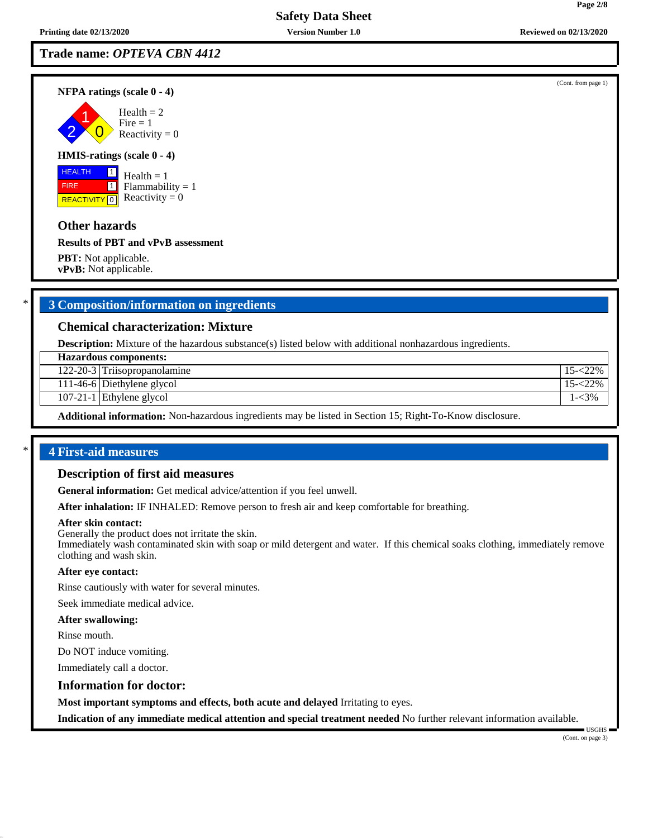**Trade name:** *OPTEVA CBN 4412*

**NFPA ratings (scale 0 - 4)**

2 1  $\overline{0}$  $Health = 2$  $Fire = 1$ Reactivity  $= 0$ 

#### **HMIS-ratings (scale 0 - 4)**

 HEALTH FIRE **REACTIVITY** 0  $\boxed{1}$  $\boxed{1}$ 

 $Health = 1$  $Flammability = 1$ Reactivity  $= 0$ 

## **Other hazards**

**Results of PBT and vPvB assessment**

**PBT:** Not applicable. **vPvB:** Not applicable.

# \* **3 Composition/information on ingredients**

#### **Chemical characterization: Mixture**

**Description:** Mixture of the hazardous substance(s) listed below with additional nonhazardous ingredients.

| <b>Hazardous components:</b> |                              |           |  |
|------------------------------|------------------------------|-----------|--|
|                              | 122-20-3 Triisopropanolamine |           |  |
|                              | 111-46-6 Diethylene glycol   | $22\%$    |  |
|                              | $107-21-1$ Ethylene glycol   | $1 - 3\%$ |  |
|                              |                              |           |  |

**Additional information:** Non-hazardous ingredients may be listed in Section 15; Right-To-Know disclosure.

# \* **4 First-aid measures**

#### **Description of first aid measures**

**General information:** Get medical advice/attention if you feel unwell.

**After inhalation:** IF INHALED: Remove person to fresh air and keep comfortable for breathing.

#### **After skin contact:**

Generally the product does not irritate the skin.

Immediately wash contaminated skin with soap or mild detergent and water. If this chemical soaks clothing, immediately remove clothing and wash skin.

#### **After eye contact:**

Rinse cautiously with water for several minutes.

Seek immediate medical advice.

#### **After swallowing:**

Rinse mouth.

50.0.11

Do NOT induce vomiting.

Immediately call a doctor.

#### **Information for doctor:**

**Most important symptoms and effects, both acute and delayed** Irritating to eyes.

**Indication of any immediate medical attention and special treatment needed** No further relevant information available.

 USGHS (Cont. on page 3)

(Cont. from page 1)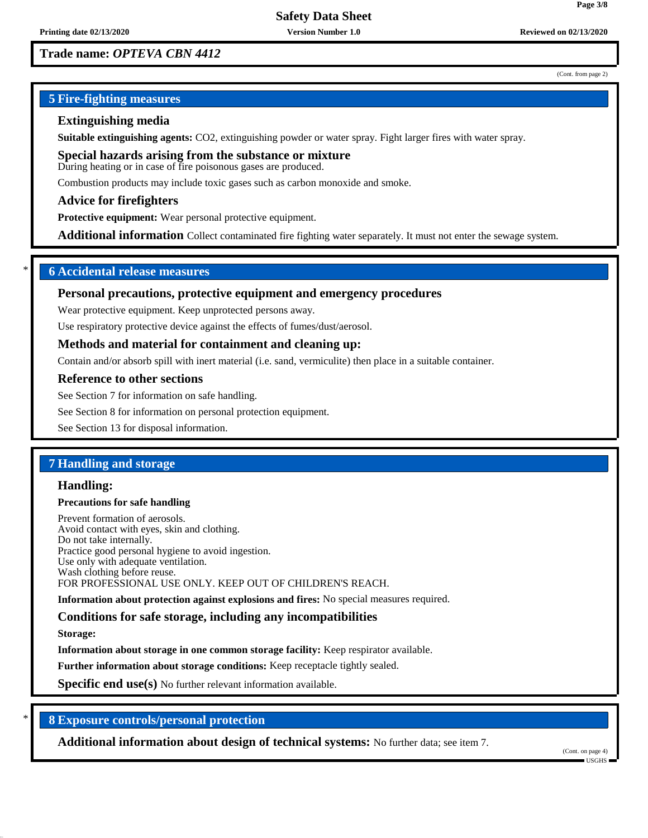# **Trade name:** *OPTEVA CBN 4412*

#### (Cont. from page 2)

**Page 3/8**

# **5 Fire-fighting measures**

### **Extinguishing media**

**Suitable extinguishing agents:** CO2, extinguishing powder or water spray. Fight larger fires with water spray.

**Special hazards arising from the substance or mixture** During heating or in case of fire poisonous gases are produced.

Combustion products may include toxic gases such as carbon monoxide and smoke.

### **Advice for firefighters**

**Protective equipment:** Wear personal protective equipment.

**Additional information** Collect contaminated fire fighting water separately. It must not enter the sewage system.

# \* **6 Accidental release measures**

#### **Personal precautions, protective equipment and emergency procedures**

Wear protective equipment. Keep unprotected persons away.

Use respiratory protective device against the effects of fumes/dust/aerosol.

#### **Methods and material for containment and cleaning up:**

Contain and/or absorb spill with inert material (i.e. sand, vermiculite) then place in a suitable container.

#### **Reference to other sections**

See Section 7 for information on safe handling.

See Section 8 for information on personal protection equipment.

See Section 13 for disposal information.

# **7 Handling and storage**

### **Handling:**

#### **Precautions for safe handling**

Prevent formation of aerosols. Avoid contact with eyes, skin and clothing. Do not take internally. Practice good personal hygiene to avoid ingestion. Use only with adequate ventilation. Wash clothing before reuse. FOR PROFESSIONAL USE ONLY. KEEP OUT OF CHILDREN'S REACH.

**Information about protection against explosions and fires:** No special measures required.

# **Conditions for safe storage, including any incompatibilities**

**Storage:**

50.0.11

**Information about storage in one common storage facility:** Keep respirator available.

**Further information about storage conditions:** Keep receptacle tightly sealed.

**Specific end use(s)** No further relevant information available.

# \* **8 Exposure controls/personal protection**

**Additional information about design of technical systems:** No further data; see item 7.

(Cont. on page 4) USGHS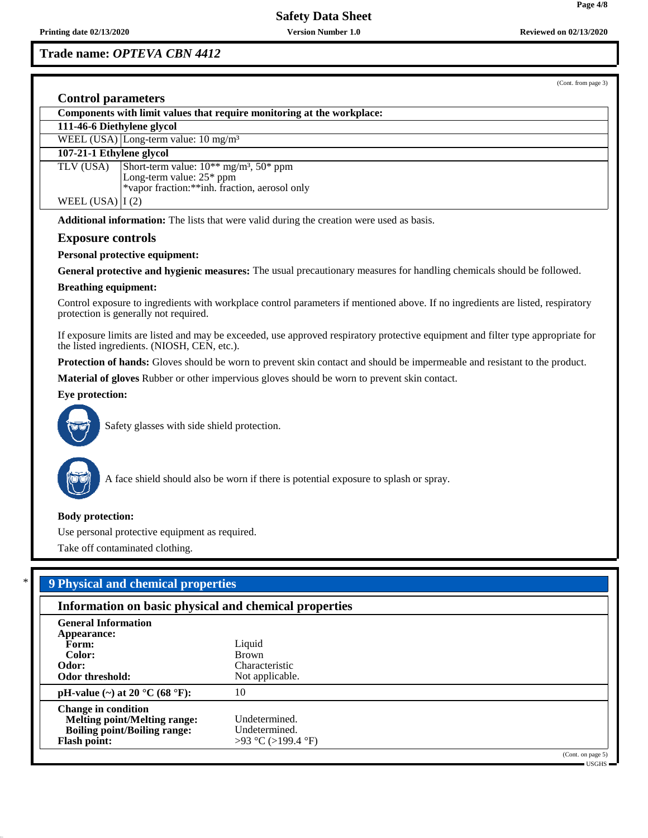**Trade name:** *OPTEVA CBN 4412*

(Cont. from page 3)

# **Control parameters**

| Components with limit values that require monitoring at the workplace:                           |                                                                     |  |  |  |
|--------------------------------------------------------------------------------------------------|---------------------------------------------------------------------|--|--|--|
| 111-46-6 Diethylene glycol                                                                       |                                                                     |  |  |  |
| WEEL (USA) Long-term value: $10 \text{ mg/m}^3$                                                  |                                                                     |  |  |  |
| 107-21-1 Ethylene glycol                                                                         |                                                                     |  |  |  |
| TLV (USA)                                                                                        | Short-term value: $10^{**}$ mg/m <sup>3</sup> , 50 <sup>*</sup> ppm |  |  |  |
|                                                                                                  | Long-term value: $25*$ ppm                                          |  |  |  |
|                                                                                                  | *vapor fraction: ** inh. fraction, aerosol only                     |  |  |  |
| WEEL $(USA)   I (2)$                                                                             |                                                                     |  |  |  |
| <b>Additional information:</b> The lists that were valid during the creation were used as basis. |                                                                     |  |  |  |
| <b>Exposure controls</b>                                                                         |                                                                     |  |  |  |
| <b>Personal protective equipment:</b>                                                            |                                                                     |  |  |  |
|                                                                                                  |                                                                     |  |  |  |

**General protective and hygienic measures:** The usual precautionary measures for handling chemicals should be followed.

#### **Breathing equipment:**

Control exposure to ingredients with workplace control parameters if mentioned above. If no ingredients are listed, respiratory protection is generally not required.

If exposure limits are listed and may be exceeded, use approved respiratory protective equipment and filter type appropriate for the listed ingredients. (NIOSH, CEN, etc.).

**Protection of hands:** Gloves should be worn to prevent skin contact and should be impermeable and resistant to the product.

**Material of gloves** Rubber or other impervious gloves should be worn to prevent skin contact.

# **Eye protection:**



Safety glasses with side shield protection.



50.0.11

A face shield should also be worn if there is potential exposure to splash or spray.

#### **Body protection:**

Use personal protective equipment as required.

Take off contaminated clothing.

# \* **9 Physical and chemical properties**

| Information on basic physical and chemical properties                                                                           |                                                      |                   |  |  |
|---------------------------------------------------------------------------------------------------------------------------------|------------------------------------------------------|-------------------|--|--|
| <b>General Information</b><br>Appearance:<br>Form:                                                                              | Liquid                                               |                   |  |  |
| Color:<br>Odor:<br>Odor threshold:                                                                                              | <b>Brown</b><br>Characteristic<br>Not applicable.    |                   |  |  |
| pH-value (~) at 20 $^{\circ}$ C (68 $^{\circ}$ F):                                                                              | 10                                                   |                   |  |  |
| <b>Change in condition</b><br><b>Melting point/Melting range:</b><br><b>Boiling point/Boiling range:</b><br><b>Flash point:</b> | Undetermined.<br>Undetermined.<br>>93 °C (>199.4 °F) |                   |  |  |
|                                                                                                                                 |                                                      | (Cont. on page 5) |  |  |

USGHS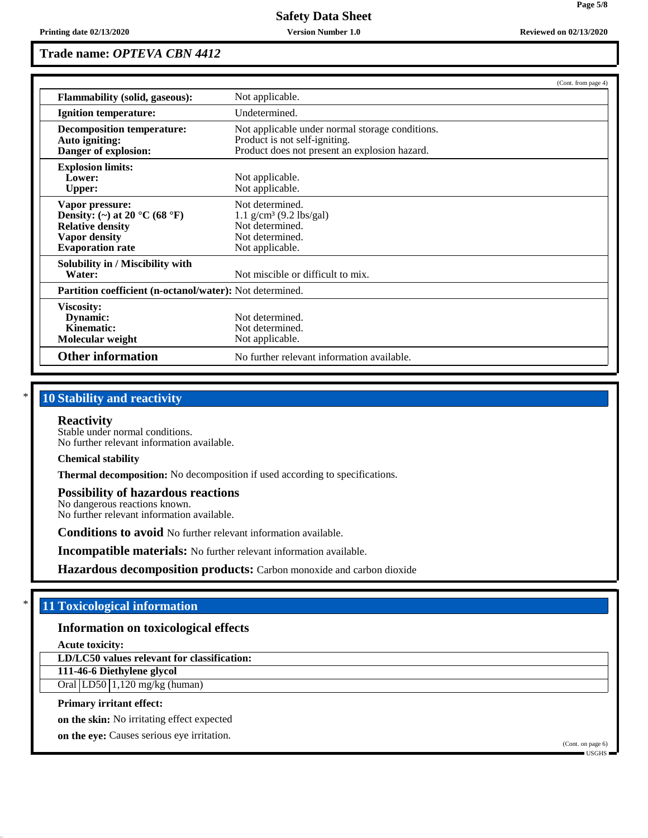# **Trade name:** *OPTEVA CBN 4412*

|                                                                                                                                                    | (Cont. from page 4)                                                                                                               |  |  |
|----------------------------------------------------------------------------------------------------------------------------------------------------|-----------------------------------------------------------------------------------------------------------------------------------|--|--|
| <b>Flammability (solid, gaseous):</b>                                                                                                              | Not applicable.                                                                                                                   |  |  |
| Undetermined.<br><b>Ignition temperature:</b>                                                                                                      |                                                                                                                                   |  |  |
| <b>Decomposition temperature:</b><br>Auto igniting:<br>Danger of explosion:                                                                        | Not applicable under normal storage conditions.<br>Product is not self-igniting.<br>Product does not present an explosion hazard. |  |  |
| <b>Explosion limits:</b><br>Lower:<br><b>Upper:</b>                                                                                                | Not applicable.<br>Not applicable.                                                                                                |  |  |
| Vapor pressure:<br>Density: (~) at 20 $^{\circ}$ C (68 $^{\circ}$ F)<br><b>Relative density</b><br><b>Vapor density</b><br><b>Evaporation rate</b> | Not determined.<br>$1.1$ g/cm <sup>3</sup> (9.2 lbs/gal)<br>Not determined.<br>Not determined.<br>Not applicable.                 |  |  |
| Solubility in / Miscibility with<br>Water:                                                                                                         | Not miscible or difficult to mix.                                                                                                 |  |  |
|                                                                                                                                                    | <b>Partition coefficient (n-octanol/water):</b> Not determined.                                                                   |  |  |
| Viscosity:<br>Dynamic:<br>Kinematic:<br>Molecular weight                                                                                           | Not determined.<br>Not determined.<br>Not applicable.                                                                             |  |  |
| <b>Other information</b><br>No further relevant information available.                                                                             |                                                                                                                                   |  |  |

# **10 Stability and reactivity**

#### **Reactivity**

Stable under normal conditions. No further relevant information available.

#### **Chemical stability**

**Thermal decomposition:** No decomposition if used according to specifications.

#### **Possibility of hazardous reactions**

No dangerous reactions known. No further relevant information available.

**Conditions to avoid** No further relevant information available.

**Incompatible materials:** No further relevant information available.

**Hazardous decomposition products:** Carbon monoxide and carbon dioxide

# \* **11 Toxicological information**

## **Information on toxicological effects**

**Acute toxicity:**

50.0.11

**LD/LC50 values relevant for classification:**

# **111-46-6 Diethylene glycol**

Oral  $LD50/1,120$  mg/kg (human)

## **Primary irritant effect:**

**on the skin:** No irritating effect expected

**on the eye:** Causes serious eye irritation.

(Cont. on page 6) USGHS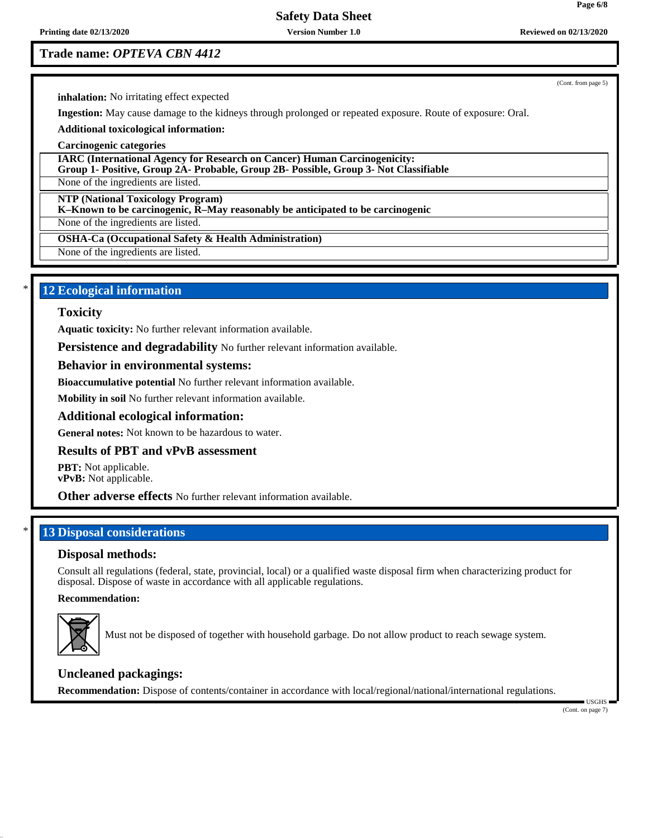**Printing date 02/13/2020 Version Number 1.0 Reviewed on 02/13/2020**

# **Safety Data Sheet**

# **Trade name:** *OPTEVA CBN 4412*

(Cont. from page 5)

**inhalation:** No irritating effect expected

**Ingestion:** May cause damage to the kidneys through prolonged or repeated exposure. Route of exposure: Oral.

**Additional toxicological information:**

**Carcinogenic categories**

**IARC (International Agency for Research on Cancer) Human Carcinogenicity: Group 1- Positive, Group 2A- Probable, Group 2B- Possible, Group 3- Not Classifiable**

None of the ingredients are listed.

**NTP (National Toxicology Program)**

**K–Known to be carcinogenic, R–May reasonably be anticipated to be carcinogenic**

None of the ingredients are listed.

**OSHA-Ca (Occupational Safety & Health Administration)**

None of the ingredients are listed.

# **12 Ecological information**

#### **Toxicity**

**Aquatic toxicity:** No further relevant information available.

**Persistence and degradability** No further relevant information available.

### **Behavior in environmental systems:**

**Bioaccumulative potential** No further relevant information available.

**Mobility in soil** No further relevant information available.

### **Additional ecological information:**

**General notes:** Not known to be hazardous to water.

### **Results of PBT and vPvB assessment**

**PBT:** Not applicable. **vPvB:** Not applicable.

**Other adverse effects** No further relevant information available.

# **13 Disposal considerations**

### **Disposal methods:**

Consult all regulations (federal, state, provincial, local) or a qualified waste disposal firm when characterizing product for disposal. Dispose of waste in accordance with all applicable regulations.

#### **Recommendation:**



50.0.11

Must not be disposed of together with household garbage. Do not allow product to reach sewage system.

### **Uncleaned packagings:**

**Recommendation:** Dispose of contents/container in accordance with local/regional/national/international regulations.

(Cont. on page 7)

USGHS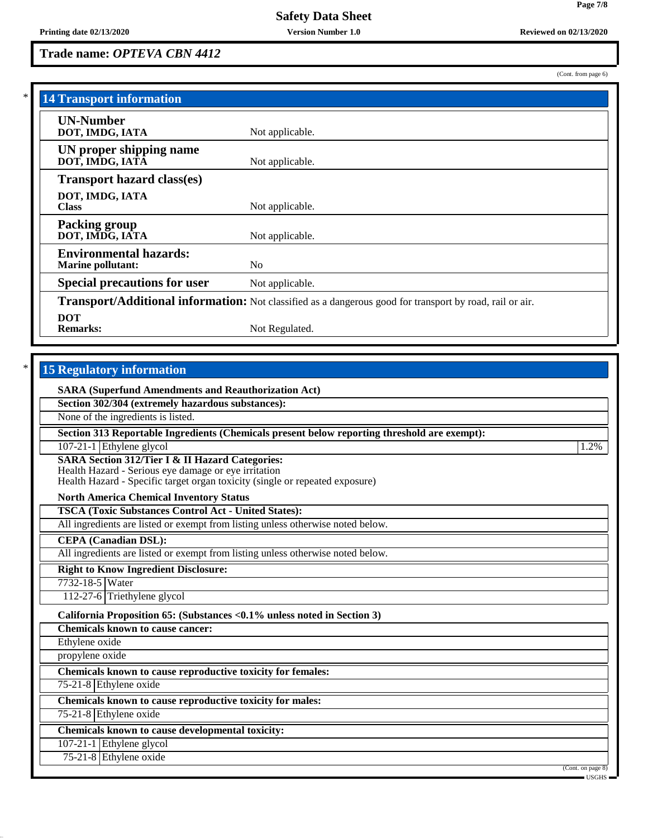**Trade name:** *OPTEVA CBN 4412*

(Cont. from page 6)

**Page 7/8**

| <b>14 Transport information</b>                           |                                                                                                          |  |  |  |
|-----------------------------------------------------------|----------------------------------------------------------------------------------------------------------|--|--|--|
| <b>UN-Number</b>                                          |                                                                                                          |  |  |  |
| DOT, IMDG, IATA                                           | Not applicable.                                                                                          |  |  |  |
| UN proper shipping name<br>DOT, IMDG, IATÃ                | Not applicable.                                                                                          |  |  |  |
| <b>Transport hazard class(es)</b>                         |                                                                                                          |  |  |  |
| DOT, IMDG, IATA<br><b>Class</b>                           | Not applicable.                                                                                          |  |  |  |
| <b>Packing group</b><br>DOT, IMDG, IATA                   | Not applicable.                                                                                          |  |  |  |
| <b>Environmental hazards:</b><br><b>Marine pollutant:</b> | N <sub>0</sub>                                                                                           |  |  |  |
| <b>Special precautions for user</b>                       | Not applicable.                                                                                          |  |  |  |
|                                                           | Transport/Additional information: Not classified as a dangerous good for transport by road, rail or air. |  |  |  |
| <b>DOT</b><br><b>Remarks:</b>                             | Not Regulated.                                                                                           |  |  |  |

# **15 Regulatory information**

50.0.11

| <b>SARA (Superfund Amendments and Reauthorization Act)</b>                                                                                                                                         |                                                                              |
|----------------------------------------------------------------------------------------------------------------------------------------------------------------------------------------------------|------------------------------------------------------------------------------|
| Section 302/304 (extremely hazardous substances):                                                                                                                                                  |                                                                              |
| None of the ingredients is listed.                                                                                                                                                                 |                                                                              |
| Section 313 Reportable Ingredients (Chemicals present below reporting threshold are exempt):                                                                                                       |                                                                              |
| $107-21-1$ Ethylene glycol                                                                                                                                                                         | 1.2%                                                                         |
| <b>SARA Section 312/Tier I &amp; II Hazard Categories:</b><br>Health Hazard - Serious eye damage or eye irritation<br>Health Hazard - Specific target organ toxicity (single or repeated exposure) |                                                                              |
| <b>North America Chemical Inventory Status</b>                                                                                                                                                     |                                                                              |
| <b>TSCA (Toxic Substances Control Act - United States):</b>                                                                                                                                        |                                                                              |
| All ingredients are listed or exempt from listing unless otherwise noted below.                                                                                                                    |                                                                              |
| <b>CEPA</b> (Canadian DSL):                                                                                                                                                                        |                                                                              |
| All ingredients are listed or exempt from listing unless otherwise noted below.                                                                                                                    |                                                                              |
| <b>Right to Know Ingredient Disclosure:</b>                                                                                                                                                        |                                                                              |
| 7732-18-5 Water                                                                                                                                                                                    |                                                                              |
| 112-27-6 Triethylene glycol                                                                                                                                                                        |                                                                              |
| California Proposition 65: (Substances < 0.1% unless noted in Section 3)                                                                                                                           |                                                                              |
| <b>Chemicals known to cause cancer:</b>                                                                                                                                                            |                                                                              |
| Ethylene oxide                                                                                                                                                                                     |                                                                              |
| propylene oxide                                                                                                                                                                                    |                                                                              |
| Chemicals known to cause reproductive toxicity for females:                                                                                                                                        |                                                                              |
| 75-21-8 Ethylene oxide                                                                                                                                                                             |                                                                              |
| Chemicals known to cause reproductive toxicity for males:                                                                                                                                          |                                                                              |
| 75-21-8 Ethylene oxide                                                                                                                                                                             |                                                                              |
| Chemicals known to cause developmental toxicity:                                                                                                                                                   |                                                                              |
| 107-21-1 Ethylene glycol                                                                                                                                                                           |                                                                              |
| 75-21-8 Ethylene oxide                                                                                                                                                                             |                                                                              |
|                                                                                                                                                                                                    | (Cont. on page 8)<br>$\overline{\phantom{a}}$ USGHS $\overline{\phantom{a}}$ |